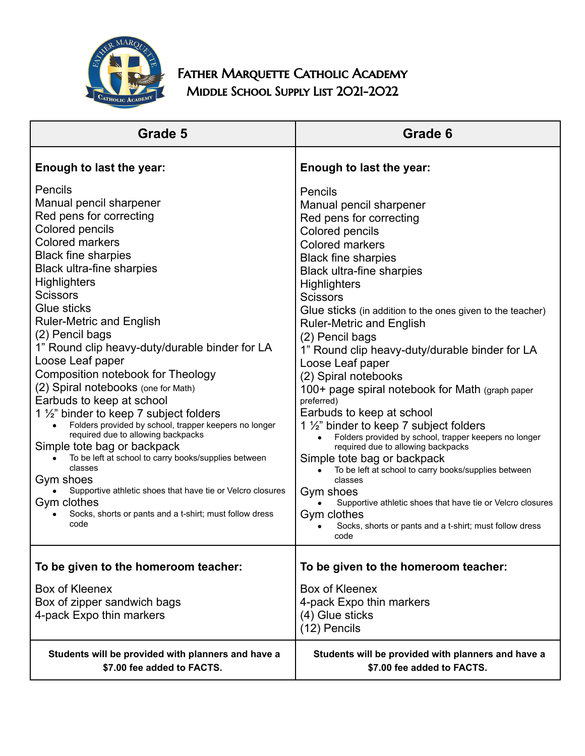

FATHER MARQUETTE CATHOLIC ACADEMY MIDDLE SCHOOL SUPPLY LIST 2021-2022

| Grade 5                                                                                                                                                                                                                                                                                                                                                                                                                                                                                                                                                                                                                                                                                                                                                                                                                                                                                                            | Grade 6                                                                                                                                                                                                                                                                                                                                                                                                                                                                                                                                                                                                                                                                                                                                                                                                                                                                                                                                                    |
|--------------------------------------------------------------------------------------------------------------------------------------------------------------------------------------------------------------------------------------------------------------------------------------------------------------------------------------------------------------------------------------------------------------------------------------------------------------------------------------------------------------------------------------------------------------------------------------------------------------------------------------------------------------------------------------------------------------------------------------------------------------------------------------------------------------------------------------------------------------------------------------------------------------------|------------------------------------------------------------------------------------------------------------------------------------------------------------------------------------------------------------------------------------------------------------------------------------------------------------------------------------------------------------------------------------------------------------------------------------------------------------------------------------------------------------------------------------------------------------------------------------------------------------------------------------------------------------------------------------------------------------------------------------------------------------------------------------------------------------------------------------------------------------------------------------------------------------------------------------------------------------|
| Enough to last the year:                                                                                                                                                                                                                                                                                                                                                                                                                                                                                                                                                                                                                                                                                                                                                                                                                                                                                           | Enough to last the year:                                                                                                                                                                                                                                                                                                                                                                                                                                                                                                                                                                                                                                                                                                                                                                                                                                                                                                                                   |
| Pencils<br>Manual pencil sharpener<br>Red pens for correcting<br><b>Colored pencils</b><br><b>Colored markers</b><br><b>Black fine sharpies</b><br><b>Black ultra-fine sharpies</b><br><b>Highlighters</b><br><b>Scissors</b><br>Glue sticks<br><b>Ruler-Metric and English</b><br>(2) Pencil bags<br>1" Round clip heavy-duty/durable binder for LA<br>Loose Leaf paper<br>Composition notebook for Theology<br>(2) Spiral notebooks (one for Math)<br>Earbuds to keep at school<br>1 $\frac{1}{2}$ " binder to keep 7 subject folders<br>Folders provided by school, trapper keepers no longer<br>$\bullet$<br>required due to allowing backpacks<br>Simple tote bag or backpack<br>To be left at school to carry books/supplies between<br>classes<br>Gym shoes<br>Supportive athletic shoes that have tie or Velcro closures<br>Gym clothes<br>Socks, shorts or pants and a t-shirt; must follow dress<br>code | Pencils<br>Manual pencil sharpener<br>Red pens for correcting<br>Colored pencils<br><b>Colored markers</b><br><b>Black fine sharpies</b><br><b>Black ultra-fine sharpies</b><br><b>Highlighters</b><br><b>Scissors</b><br>Glue sticks (in addition to the ones given to the teacher)<br><b>Ruler-Metric and English</b><br>(2) Pencil bags<br>1" Round clip heavy-duty/durable binder for LA<br>Loose Leaf paper<br>(2) Spiral notebooks<br>100+ page spiral notebook for Math (graph paper<br>preferred)<br>Earbuds to keep at school<br>1 $\frac{1}{2}$ " binder to keep 7 subject folders<br>Folders provided by school, trapper keepers no longer<br>required due to allowing backpacks<br>Simple tote bag or backpack<br>To be left at school to carry books/supplies between<br>classes<br>Gym shoes<br>Supportive athletic shoes that have tie or Velcro closures<br>Gym clothes<br>Socks, shorts or pants and a t-shirt; must follow dress<br>code |
| To be given to the homeroom teacher:                                                                                                                                                                                                                                                                                                                                                                                                                                                                                                                                                                                                                                                                                                                                                                                                                                                                               | To be given to the homeroom teacher:                                                                                                                                                                                                                                                                                                                                                                                                                                                                                                                                                                                                                                                                                                                                                                                                                                                                                                                       |
| Box of Kleenex<br>Box of zipper sandwich bags<br>4-pack Expo thin markers                                                                                                                                                                                                                                                                                                                                                                                                                                                                                                                                                                                                                                                                                                                                                                                                                                          | Box of Kleenex<br>4-pack Expo thin markers<br>(4) Glue sticks<br>(12) Pencils                                                                                                                                                                                                                                                                                                                                                                                                                                                                                                                                                                                                                                                                                                                                                                                                                                                                              |
| Students will be provided with planners and have a<br>\$7.00 fee added to FACTS.                                                                                                                                                                                                                                                                                                                                                                                                                                                                                                                                                                                                                                                                                                                                                                                                                                   | Students will be provided with planners and have a<br>\$7.00 fee added to FACTS.                                                                                                                                                                                                                                                                                                                                                                                                                                                                                                                                                                                                                                                                                                                                                                                                                                                                           |